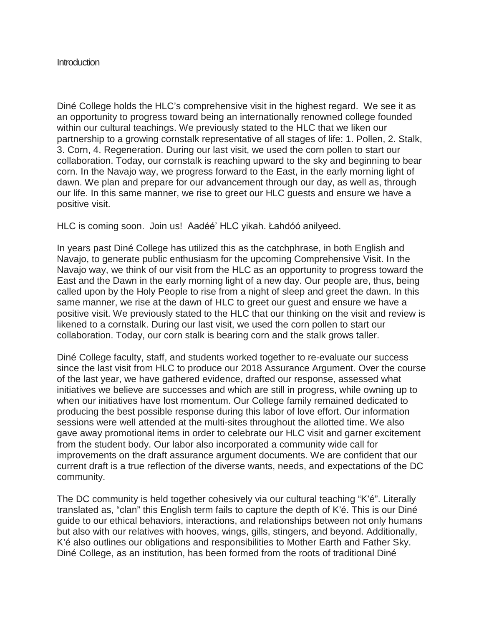## **Introduction**

Diné College holds the HLC's comprehensive visit in the highest regard. We see it as an opportunity to progress toward being an internationally renowned college founded within our cultural teachings. We previously stated to the HLC that we liken our partnership to a growing cornstalk representative of all stages of life: 1. Pollen, 2. Stalk, 3. Corn, 4. Regeneration. During our last visit, we used the corn pollen to start our collaboration. Today, our cornstalk is reaching upward to the sky and beginning to bear corn. In the Navajo way, we progress forward to the East, in the early morning light of dawn. We plan and prepare for our advancement through our day, as well as, through our life. In this same manner, we rise to greet our HLC guests and ensure we have a positive visit.

HLC is coming soon. Join us! Aadéé' HLC yikah. Łahdóó anilyeed.

In years past Diné College has utilized this as the catchphrase, in both English and Navajo, to generate public enthusiasm for the upcoming Comprehensive Visit. In the Navajo way, we think of our visit from the HLC as an opportunity to progress toward the East and the Dawn in the early morning light of a new day. Our people are, thus, being called upon by the Holy People to rise from a night of sleep and greet the dawn. In this same manner, we rise at the dawn of HLC to greet our guest and ensure we have a positive visit. We previously stated to the HLC that our thinking on the visit and review is likened to a cornstalk. During our last visit, we used the corn pollen to start our collaboration. Today, our corn stalk is bearing corn and the stalk grows taller.

Diné College faculty, staff, and students worked together to re-evaluate our success since the last visit from HLC to produce our 2018 Assurance Argument. Over the course of the last year, we have gathered evidence, drafted our response, assessed what initiatives we believe are successes and which are still in progress, while owning up to when our initiatives have lost momentum. Our College family remained dedicated to producing the best possible response during this labor of love effort. Our information sessions were well attended at the multi-sites throughout the allotted time. We also gave away promotional items in order to celebrate our HLC visit and garner excitement from the student body. Our labor also incorporated a community wide call for improvements on the draft assurance argument documents. We are confident that our current draft is a true reflection of the diverse wants, needs, and expectations of the DC community.

The DC community is held together cohesively via our cultural teaching "K'é". Literally translated as, "clan" this English term fails to capture the depth of K'é. This is our Diné guide to our ethical behaviors, interactions, and relationships between not only humans but also with our relatives with hooves, wings, gills, stingers, and beyond. Additionally, K'é also outlines our obligations and responsibilities to Mother Earth and Father Sky. Diné College, as an institution, has been formed from the roots of traditional Diné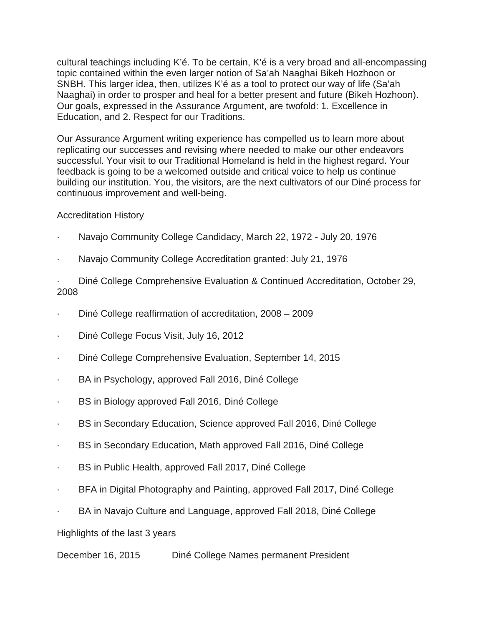cultural teachings including K'é. To be certain, K'é is a very broad and all-encompassing topic contained within the even larger notion of Sa'ah Naaghai Bikeh Hozhoon or SNBH. This larger idea, then, utilizes K'é as a tool to protect our way of life (Sa'ah Naaghai) in order to prosper and heal for a better present and future (Bikeh Hozhoon). Our goals, expressed in the Assurance Argument, are twofold: 1. Excellence in Education, and 2. Respect for our Traditions.

Our Assurance Argument writing experience has compelled us to learn more about replicating our successes and revising where needed to make our other endeavors successful. Your visit to our Traditional Homeland is held in the highest regard. Your feedback is going to be a welcomed outside and critical voice to help us continue building our institution. You, the visitors, are the next cultivators of our Diné process for continuous improvement and well-being.

## Accreditation History

- Navajo Community College Candidacy, March 22, 1972 July 20, 1976
- · Navajo Community College Accreditation granted: July 21, 1976

· Diné College Comprehensive Evaluation & Continued Accreditation, October 29, 2008

- · Diné College reaffirmation of accreditation, 2008 2009
- · Diné College Focus Visit, July 16, 2012
- · Diné College Comprehensive Evaluation, September 14, 2015
- · BA in Psychology, approved Fall 2016, Diné College
- · BS in Biology approved Fall 2016, Diné College
- · BS in Secondary Education, Science approved Fall 2016, Diné College
- · BS in Secondary Education, Math approved Fall 2016, Diné College
- · BS in Public Health, approved Fall 2017, Diné College
- · BFA in Digital Photography and Painting, approved Fall 2017, Diné College
- BA in Navajo Culture and Language, approved Fall 2018, Diné College

Highlights of the last 3 years

December 16, 2015 Diné College Names permanent President